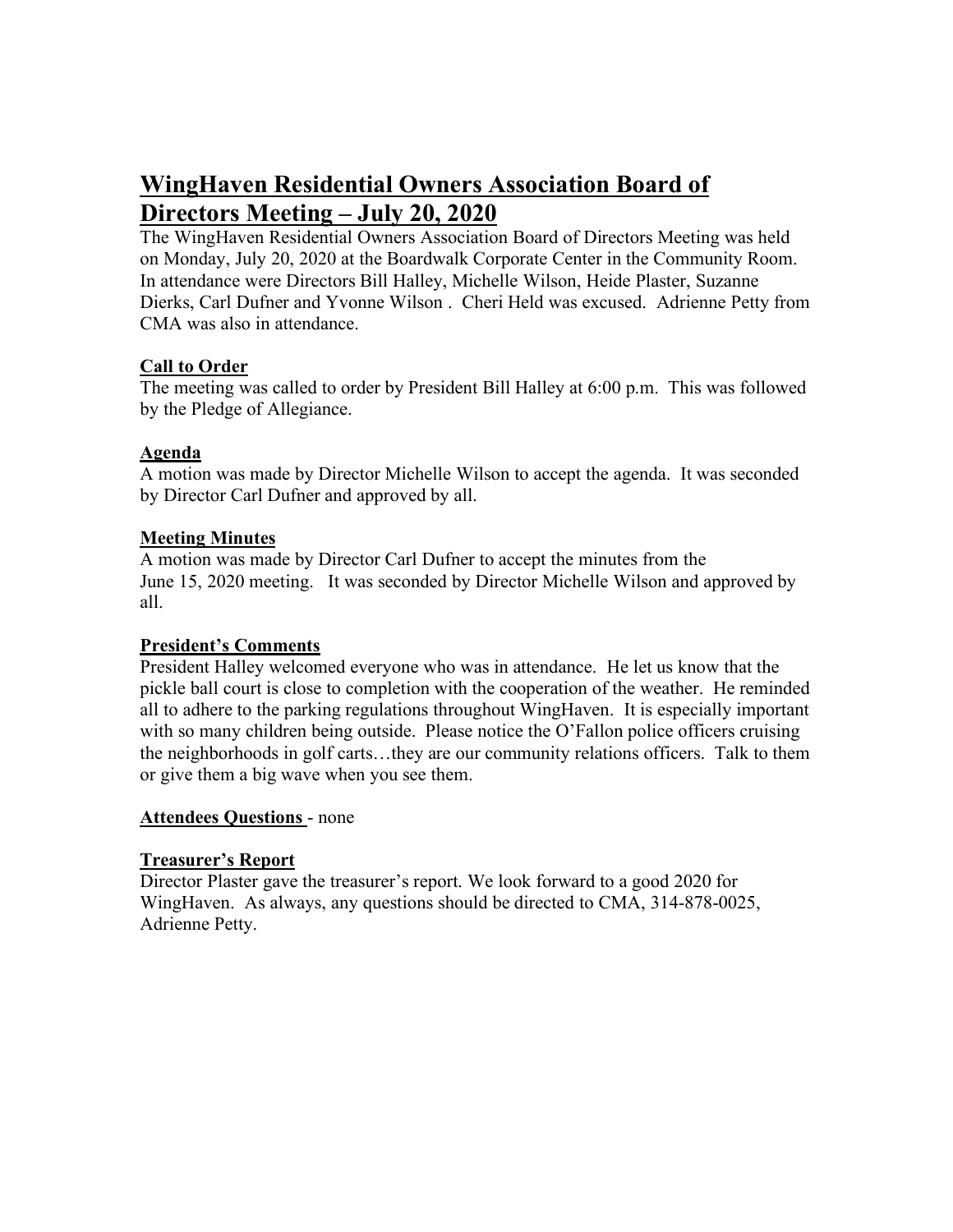# **WingHaven Residential Owners Association Board of Directors Meeting – July 20, 2020**

The WingHaven Residential Owners Association Board of Directors Meeting was held on Monday, July 20, 2020 at the Boardwalk Corporate Center in the Community Room. In attendance were Directors Bill Halley, Michelle Wilson, Heide Plaster, Suzanne Dierks, Carl Dufner and Yvonne Wilson . Cheri Held was excused. Adrienne Petty from CMA was also in attendance.

# **Call to Order**

The meeting was called to order by President Bill Halley at 6:00 p.m. This was followed by the Pledge of Allegiance.

# **Agenda**

A motion was made by Director Michelle Wilson to accept the agenda. It was seconded by Director Carl Dufner and approved by all.

# **Meeting Minutes**

A motion was made by Director Carl Dufner to accept the minutes from the June 15, 2020 meeting. It was seconded by Director Michelle Wilson and approved by all.

## **President's Comments**

President Halley welcomed everyone who was in attendance. He let us know that the pickle ball court is close to completion with the cooperation of the weather. He reminded all to adhere to the parking regulations throughout WingHaven. It is especially important with so many children being outside. Please notice the O'Fallon police officers cruising the neighborhoods in golf carts…they are our community relations officers. Talk to them or give them a big wave when you see them.

## **Attendees Questions** - none

## **Treasurer's Report**

Director Plaster gave the treasurer's report. We look forward to a good 2020 for WingHaven. As always, any questions should be directed to CMA, 314-878-0025, Adrienne Petty.